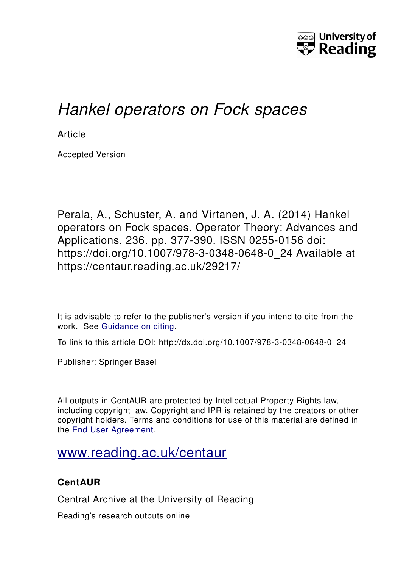

# *Hankel operators on Fock spaces*

**Article** 

Accepted Version

Perala, A., Schuster, A. and Virtanen, J. A. (2014) Hankel operators on Fock spaces. Operator Theory: Advances and Applications, 236. pp. 377-390. ISSN 0255-0156 doi: https://doi.org/10.1007/978-3-0348-0648-0\_24 Available at https://centaur.reading.ac.uk/29217/

It is advisable to refer to the publisher's version if you intend to cite from the work. See [Guidance on citing.](http://centaur.reading.ac.uk/71187/10/CentAUR%20citing%20guide.pdf)

To link to this article DOI: http://dx.doi.org/10.1007/978-3-0348-0648-0\_24

Publisher: Springer Basel

All outputs in CentAUR are protected by Intellectual Property Rights law, including copyright law. Copyright and IPR is retained by the creators or other copyright holders. Terms and conditions for use of this material are defined in the [End User Agreement.](http://centaur.reading.ac.uk/licence)

## [www.reading.ac.uk/centaur](http://www.reading.ac.uk/centaur)

## **CentAUR**

Central Archive at the University of Reading

Reading's research outputs online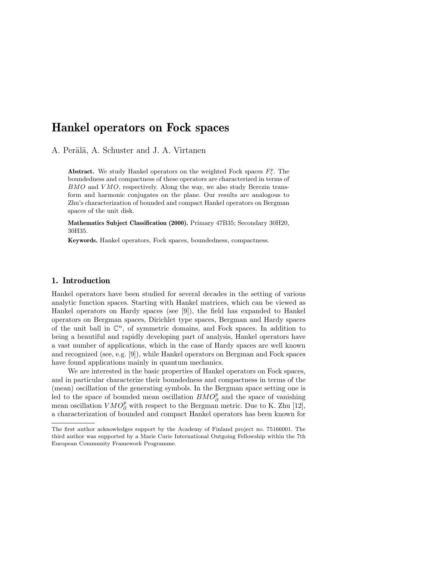### Hankel operators on Fock spaces

A. Perälä, A. Schuster and J. A. Virtanen

**Abstract.** We study Hankel operators on the weighted Fock spaces  $F_{\gamma}^p$ . The boundedness and compactness of these operators are characterized in terms of  $BMO$  and  $VMO$ , respectively. Along the way, we also study Berezin transform and harmonic conjugates on the plane. Our results are analogous to Zhu's characterization of bounded and compact Hankel operators on Bergman spaces of the unit disk.

Mathematics Subject Classification (2000). Primary 47B35; Secondary 30H20, 30H35.

Keywords. Hankel operators, Fock spaces, boundedness, compactness.

#### 1. Introduction

Hankel operators have been studied for several decades in the setting of various analytic function spaces. Starting with Hankel matrices, which can be viewed as Hankel operators on Hardy spaces (see [9]), the field has expanded to Hankel operators on Bergman spaces, Dirichlet type spaces, Bergman and Hardy spaces of the unit ball in  $\mathbb{C}^n$ , of symmetric domains, and Fock spaces. In addition to being a beautiful and rapidly developing part of analysis, Hankel operators have a vast number of applications, which in the case of Hardy spaces are well known and recognized (see, e.g. [9]), while Hankel operators on Bergman and Fock spaces have found applications mainly in quantum mechanics.

We are interested in the basic properties of Hankel operators on Fock spaces, and in particular characterize their boundedness and compactness in terms of the (mean) oscillation of the generating symbols. In the Bergman space setting one is led to the space of bounded mean oscillation  $BMO_{\partial}^p$  and the space of vanishing mean oscillation  $VMO_{\partial}^p$  with respect to the Bergman metric. Due to K. Zhu [12], a characterization of bounded and compact Hankel operators has been known for

The first author acknowledges support by the Academy of Finland project no. 75166001. The third author was supported by a Marie Curie International Outgoing Fellowship within the 7th European Community Framework Programme.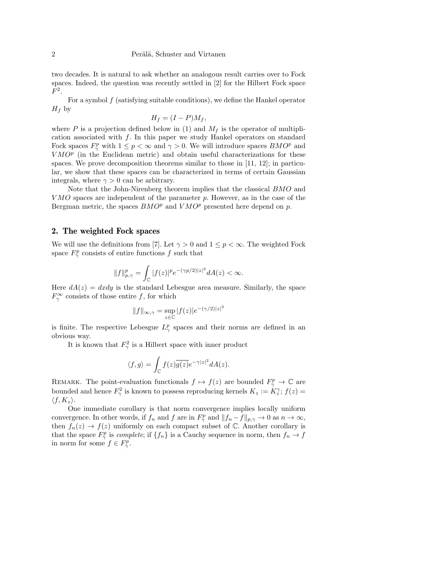two decades. It is natural to ask whether an analogous result carries over to Fock spaces. Indeed, the question was recently settled in [2] for the Hilbert Fock space  $F^2$ .

For a symbol f (satisfying suitable conditions), we define the Hankel operator  $H_f$  by

$$
H_f = (I - P)M_f,
$$

where P is a projection defined below in (1) and  $M_f$  is the operator of multiplication associated with f. In this paper we study Hankel operators on standard Fock spaces  $F^p_\gamma$  with  $1 \leq p < \infty$  and  $\gamma > 0$ . We will introduce spaces  $BMO^p$  and  $VMO<sup>p</sup>$  (in the Euclidean metric) and obtain useful characterizations for these spaces. We prove decomposition theorems similar to those in [11, 12]; in particular, we show that these spaces can be characterized in terms of certain Gaussian integrals, where  $\gamma > 0$  can be arbitrary.

Note that the John-Nirenberg theorem implies that the classical BMO and  $VMO$  spaces are independent of the parameter  $p$ . However, as in the case of the Bergman metric, the spaces  $BMO^p$  and  $VMO^p$  presented here depend on p.

#### 2. The weighted Fock spaces

We will use the definitions from [7]. Let  $\gamma > 0$  and  $1 \leq p < \infty$ . The weighted Fock space  $F^p_\gamma$  consists of entire functions f such that

$$
||f||_{p,\gamma}^p = \int_{\mathbb{C}} |f(z)|^p e^{-(\gamma p/2)|z|^2} dA(z) < \infty.
$$

Here  $dA(z) = dxdy$  is the standard Lebesgue area measure. Similarly, the space  $F_{\gamma}^{\infty}$  consists of those entire f, for which

$$
||f||_{\infty,\gamma} = \sup_{z \in \mathbb{C}} |f(z)|e^{-(\gamma/2)|z|^2}
$$

is finite. The respective Lebesgue  $L^p_\gamma$  spaces and their norms are defined in an obvious way.

It is known that  $F_{\gamma}^2$  is a Hilbert space with inner product

$$
\langle f,g\rangle=\int_{\mathbb C}f(z)\overline{g(z)}e^{-\gamma|z|^2}dA(z).
$$

REMARK. The point-evaluation functionals  $f \mapsto f(z)$  are bounded  $F_{\gamma}^p \to \mathbb{C}$  are bounded and hence  $F_{\gamma}^2$  is known to possess reproducing kernels  $K_z := K_z^{\gamma}$ ;  $f(z) =$  $\langle f, K_z \rangle$ .

One immediate corollary is that norm convergence implies locally uniform convergence. In other words, if  $f_n$  and f are in  $F_\gamma^p$  and  $||f_n - f||_{p,\gamma} \to 0$  as  $n \to \infty$ , then  $f_n(z) \to f(z)$  uniformly on each compact subset of C. Another corollary is that the space  $F_{\gamma}^{p}$  is *complete*; if  $\{f_{n}\}$  is a Cauchy sequence in norm, then  $f_{n} \to f$ in norm for some  $f \in F_{\gamma}^p$ .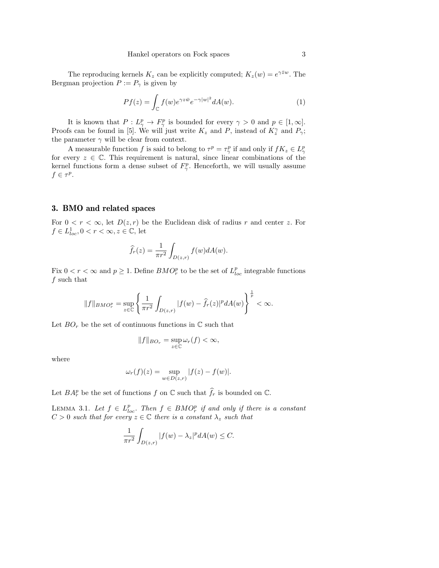The reproducing kernels  $K_z$  can be explicitly computed;  $K_z(w) = e^{\gamma \bar{z}w}$ . The Bergman projection  $P := P_\gamma$  is given by

$$
Pf(z) = \int_{\mathbb{C}} f(w)e^{\gamma z \bar{w}} e^{-\gamma |w|^2} dA(w).
$$
 (1)

It is known that  $P: L^p_\gamma \to F^p_\gamma$  is bounded for every  $\gamma > 0$  and  $p \in [1, \infty]$ . Proofs can be found in [5]. We will just write  $K_z$  and P, instead of  $K_z^{\gamma}$  and  $P_{\gamma}$ ; the parameter  $\gamma$  will be clear from context.

A measurable function f is said to belong to  $\tau^p = \tau^p_\gamma$  if and only if  $fK_z \in L^p_\gamma$ for every  $z \in \mathbb{C}$ . This requirement is natural, since linear combinations of the kernel functions form a dense subset of  $F^p_\gamma$ . Henceforth, we will usually assume  $f \in \tau^p$ .

#### 3. BMO and related spaces

For  $0 < r < \infty$ , let  $D(z, r)$  be the Euclidean disk of radius r and center z. For  $f \in L^1_{loc}, 0 < r < \infty, z \in \mathbb{C}$ , let

$$
\widehat{f}_r(z) = \frac{1}{\pi r^2} \int_{D(z,r)} f(w) dA(w).
$$

Fix  $0 < r < \infty$  and  $p \geq 1$ . Define  $BMO_r^p$  to be the set of  $L_{loc}^p$  integrable functions f such that

$$
||f||_{BMO_r^p} = \sup_{z \in \mathbb{C}} \left\{ \frac{1}{\pi r^2} \int_{D(z,r)} |f(w) - \hat{f}_r(z)|^p dA(w) \right\}^{\frac{1}{p}} < \infty.
$$

Let  $BO_r$  be the set of continuous functions in  $\mathbb C$  such that

$$
||f||_{BO_r} = \sup_{z \in \mathbb{C}} \omega_r(f) < \infty,
$$

where

$$
\omega_r(f)(z) = \sup_{w \in D(z,r)} |f(z) - f(w)|.
$$

Let  $BA_r^p$  be the set of functions  $f$  on  $\mathbb C$  such that  $\widehat{f}_r$  is bounded on  $\mathbb C$ .

LEMMA 3.1. Let  $f \in L_{loc}^p$ . Then  $f \in BMO_r^p$  if and only if there is a constant  $C > 0$  such that for every  $z \in \mathbb{C}$  there is a constant  $\lambda_z$  such that

$$
\frac{1}{\pi r^2} \int_{D(z,r)} |f(w) - \lambda_z|^p dA(w) \le C.
$$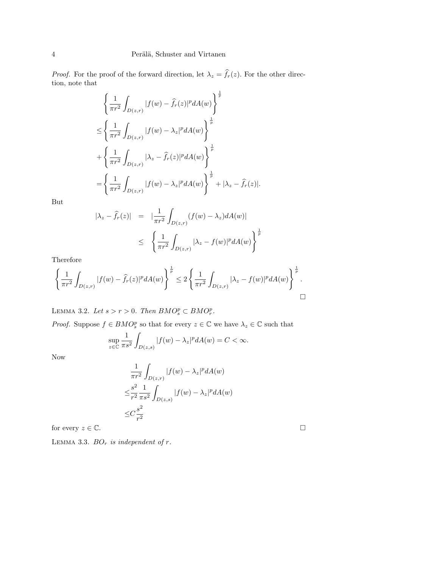*Proof.* For the proof of the forward direction, let  $\lambda_z = \hat{f}_r(z)$ . For the other direction, note that

$$
\left\{\frac{1}{\pi r^2} \int_{D(z,r)} |f(w) - \hat{f}_r(z)|^p dA(w)\right\}^{\frac{1}{p}}\n\leq \left\{\frac{1}{\pi r^2} \int_{D(z,r)} |f(w) - \lambda_z|^p dA(w)\right\}^{\frac{1}{p}}\n+ \left\{\frac{1}{\pi r^2} \int_{D(z,r)} |\lambda_z - \hat{f}_r(z)|^p dA(w)\right\}^{\frac{1}{p}}\n= \left\{\frac{1}{\pi r^2} \int_{D(z,r)} |f(w) - \lambda_z|^p dA(w)\right\}^{\frac{1}{p}} + |\lambda_z - \hat{f}_r(z)|.
$$

But

$$
|\lambda_z - \hat{f}_r(z)| = |\frac{1}{\pi r^2} \int_{D(z,r)} (f(w) - \lambda_z) dA(w)|
$$
  

$$
\leq \left\{ \frac{1}{\pi r^2} \int_{D(z,r)} |\lambda_z - f(w)|^p dA(w) \right\}^{\frac{1}{p}}
$$

Therefore

$$
\left\{\frac{1}{\pi r^2} \int_{D(z,r)} |f(w) - \hat{f}_r(z)|^p dA(w)\right\}^{\frac{1}{p}} \leq 2 \left\{\frac{1}{\pi r^2} \int_{D(z,r)} |\lambda_z - f(w)|^p dA(w)\right\}^{\frac{1}{p}}.
$$

LEMMA 3.2. Let  $s > r > 0$ . Then  $BMO_s^p \subset BMO_r^p$ .

*Proof.* Suppose  $f \in BMO_s^p$  so that for every  $z \in \mathbb{C}$  we have  $\lambda_z \in \mathbb{C}$  such that

$$
\sup_{z \in \mathbb{C}} \frac{1}{\pi s^2} \int_{D(z,s)} |f(w) - \lambda_z|^p dA(w) = C < \infty.
$$

Now

$$
\frac{1}{\pi r^2} \int_{D(z,r)} |f(w) - \lambda_z|^p dA(w)
$$
  

$$
\leq \frac{s^2}{r^2} \frac{1}{\pi s^2} \int_{D(z,s)} |f(w) - \lambda_z|^p dA(w)
$$
  

$$
\leq C \frac{s^2}{r^2}
$$

for every  $z \in \mathbb{C}$ .

LEMMA 3.3.  $BO_r$  is independent of r.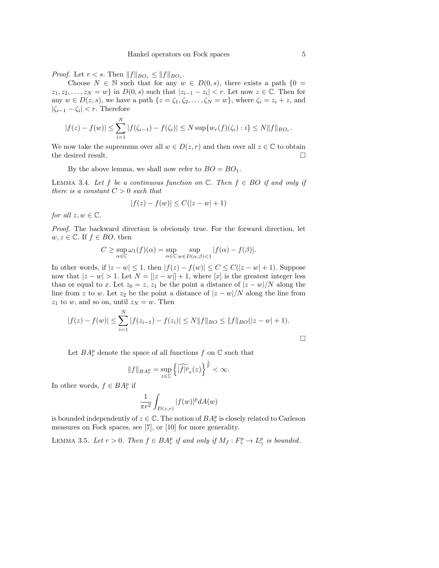*Proof.* Let  $r < s$ . Then  $||f||_{BO_r} \le ||f||_{BO_s}$ .

Choose  $N \in \mathbb{N}$  such that for any  $w \in D(0, s)$ , there exists a path  $\{0 =$  $z_1, z_2, \ldots, z_N = w$  in  $D(0, s)$  such that  $|z_{i-1} - z_i| < r$ . Let now  $z \in \mathbb{C}$ . Then for any  $w \in D(z, s)$ , we have a path  $\{z = \zeta_1, \zeta_2, \ldots, \zeta_N = w\}$ , where  $\zeta_i = z_i + z$ , and  $|\zeta_{i-1} - \zeta_i| < r$ . Therefore

$$
|f(z) - f(w)| \leq \sum_{i=1}^{N} |f(\zeta_{i-1}) - f(\zeta_i)| \leq N \sup \{w_r(f)(\zeta_i) : i\} \leq N \|f\|_{BO_r}.
$$

We now take the supremum over all  $w \in D(z, r)$  and then over all  $z \in \mathbb{C}$  to obtain the desired result.  $\Box$ 

By the above lemma, we shall now refer to  $BO = BO_1$ .

LEMMA 3.4. Let f be a continuous function on  $\mathbb{C}$ . Then  $f \in BO$  if and only if there is a constant  $C > 0$  such that

$$
|f(z) - f(w)| \le C(|z - w| + 1)
$$

for all  $z, w \in \mathbb{C}$ .

Proof. The backward direction is obviously true. For the forward direction, let  $w, z \in \mathbb{C}$ . If  $f \in BO$ , then

$$
C \ge \sup_{\alpha \in \mathbb{C}} \omega_1(f)(\alpha) = \sup_{\alpha \in \mathbb{C}} \sup_{w \in D(\alpha,\beta) < 1} |f(\alpha) - f(\beta)|.
$$

In other words, if  $|z - w| \leq 1$ , then  $|f(z) - f(w)| \leq C \leq C(|z - w| + 1)$ . Suppose now that  $|z - w| > 1$ . Let  $N = [z - w] + 1$ , where [x] is the greatest integer less than or equal to x. Let  $z_0 = z$ ,  $z_1$  be the point a distance of  $|z - w|/N$  along the line from z to w. Let  $z_2$  be the point a distance of  $|z-w|/N$  along the line from  $z_1$  to w, and so on, until  $z_N = w$ . Then

$$
|f(z) - f(w)| \le \sum_{i=1}^{N} |f(z_{i-1}) - f(z_i)| \le N \|f\|_{BO} \le \|f\|_{BO} (|z - w| + 1).
$$

Let  $BA_r^p$  denote the space of all functions  $f$  on  $\mathbb C$  such that

$$
||f||_{BA_r^p} = \sup_{z \in \mathbb{C}} \left\{ \widehat{|f|^p}_r(z) \right\}^{\frac{1}{p}} < \infty.
$$

In other words,  $f \in BA_r^p$  if

$$
\frac{1}{\pi r^2} \int_{D(z,r)} |f(w)|^p dA(w)
$$

is bounded independently of  $z \in \mathbb{C}$ . The notion of  $BA_r^p$  is closely related to Carleson measures on Fock spaces, see [7], or [10] for more generality.

LEMMA 3.5. Let  $r > 0$ . Then  $f \in BA_r^p$  if and only if  $M_f : F_\gamma^p \to L_\gamma^p$  is bounded.

 $\Box$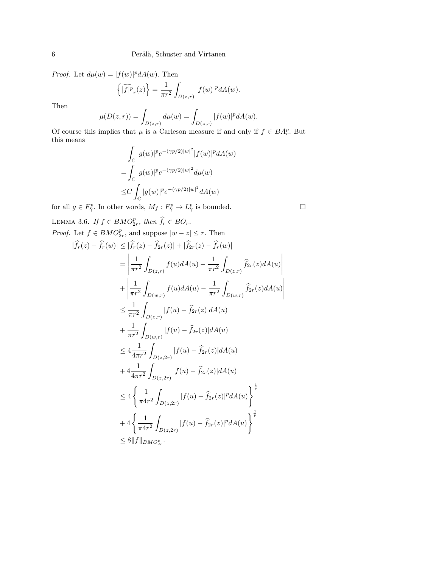*Proof.* Let  $d\mu(w) = |f(w)|^p dA(w)$ . Then

$$
\left\{\widehat{|f|^p}_r(z)\right\} = \frac{1}{\pi r^2} \int_{D(z,r)} |f(w)|^p dA(w).
$$

Then

$$
\mu(D(z,r)) = \int_{D(z,r)} d\mu(w) = \int_{D(z,r)} |f(w)|^p dA(w).
$$

Of course this implies that  $\mu$  is a Carleson measure if and only if  $f \in BA_r^p$ . But this means

$$
\int_{\mathbb{C}} |g(w)|^p e^{-(\gamma p/2)|w|^2} |f(w)|^p dA(w)
$$
  
= 
$$
\int_{\mathbb{C}} |g(w)|^p e^{-(\gamma p/2)|w|^2} d\mu(w)
$$
  

$$
\leq C \int_{\mathbb{C}} |g(w)|^p e^{-(\gamma p/2)|w|^2} dA(w)
$$

for all  $g \in F_{\gamma}^p$ . In other words,  $M_f: F_{\gamma}^p \to L_{\gamma}^p$  is bounded.

LEMMA 3.6. If  $f \in BMO_{2r}^p$ , then  $\widehat{f}_r \in BO_r$ . *Proof.* Let  $f \in BMO_{2r}^p$ , and suppose  $|w - z| \leq r$ . Then

$$
|\hat{f}_r(z) - \hat{f}_r(w)| \leq |\hat{f}_r(z) - \hat{f}_{2r}(z)| + |\hat{f}_{2r}(z) - \hat{f}_r(w)|
$$
  
\n
$$
= \left| \frac{1}{\pi r^2} \int_{D(z,r)} f(u) dA(u) - \frac{1}{\pi r^2} \int_{D(z,r)} \hat{f}_{2r}(z) dA(u) \right|
$$
  
\n
$$
+ \left| \frac{1}{\pi r^2} \int_{D(w,r)} f(u) dA(u) - \frac{1}{\pi r^2} \int_{D(w,r)} \hat{f}_{2r}(z) dA(u) \right|
$$
  
\n
$$
\leq \frac{1}{\pi r^2} \int_{D(z,r)} |f(u) - \hat{f}_{2r}(z)| dA(u)
$$
  
\n
$$
+ \frac{1}{\pi r^2} \int_{D(w,r)} |f(u) - \hat{f}_{2r}(z)| dA(u)
$$
  
\n
$$
\leq 4 \frac{1}{4\pi r^2} \int_{D(z,2r)} |f(u) - \hat{f}_{2r}(z)| dA(u)
$$
  
\n
$$
+ 4 \frac{1}{4\pi r^2} \int_{D(z,2r)} |f(u) - \hat{f}_{2r}(z)| dA(u)
$$
  
\n
$$
\leq 4 \left\{ \frac{1}{\pi 4r^2} \int_{D(z,2r)} |f(u) - \hat{f}_{2r}(z)|^p dA(u) \right\}^{\frac{1}{p}}
$$
  
\n
$$
+ 4 \left\{ \frac{1}{\pi 4r^2} \int_{D(z,2r)} |f(u) - \hat{f}_{2r}(z)|^p dA(u) \right\}^{\frac{1}{p}}
$$
  
\n
$$
\leq 8 ||f||_{BMO_{2r}^p}.
$$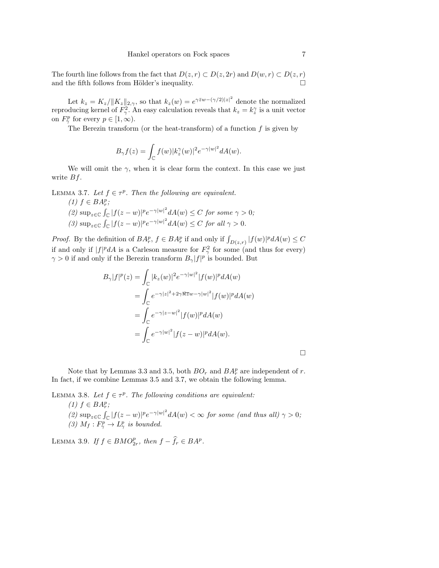The fourth line follows from the fact that  $D(z, r) \subset D(z, 2r)$  and  $D(w, r) \subset D(z, r)$ and the fifth follows from Hölder's inequality.  $\Box$ 

Let  $k_z = K_z / ||K_z||_{2,\gamma}$ , so that  $k_z(w) = e^{\gamma \bar{z}w - (\gamma/2)|z|^2}$  denote the normalized reproducing kernel of  $F_{\gamma}^2$ . An easy calculation reveals that  $k_z = k_z^{\gamma}$  is a unit vector on  $F^p_\gamma$  for every  $p \in [1, \infty)$ .

The Berezin transform (or the heat-transform) of a function  $f$  is given by

$$
B_{\gamma}f(z) = \int_{\mathbb{C}} f(w)|k_z^{\gamma}(w)|^2 e^{-\gamma|w|^2} dA(w).
$$

We will omit the  $\gamma$ , when it is clear form the context. In this case we just write  $Bf$ .

LEMMA 3.7. Let  $f \in \tau^p$ . Then the following are equivalent.  $(1)$   $f \in BA_r^p$ ; r

(2)  $\sup_{z \in \mathbb{C}} \int_{\mathbb{C}} |f(z-w)|^p e^{-\gamma |w|^2} dA(w) \leq C$  for some  $\gamma > 0$ ; (3)  $\sup_{z \in \mathbb{C}} \int_{\mathbb{C}} |f(z-w)|^p e^{-\gamma |w|^2} dA(w) \leq C$  for all  $\gamma > 0$ .

*Proof.* By the definition of  $BA_r^p$ ,  $f \in BA_r^p$  if and only if  $\int_{D(z,r)} |f(w)|^p dA(w) \leq C$ if and only if  $|f|^p dA$  is a Carleson measure for  $F_\gamma^2$  for some (and thus for every)  $\gamma > 0$  if and only if the Berezin transform  $B_{\gamma} |f|^{p}$  is bounded. But

$$
B_{\gamma}|f|^{p}(z) = \int_{\mathbb{C}} |k_{z}(w)|^{2} e^{-\gamma|w|^{2}} |f(w)|^{p} dA(w)
$$
  
\n
$$
= \int_{\mathbb{C}} e^{-\gamma|z|^{2} + 2\gamma \Re \overline{z}w - \gamma|w|^{2}} |f(w)|^{p} dA(w)
$$
  
\n
$$
= \int_{\mathbb{C}} e^{-\gamma|z-w|^{2}} |f(w)|^{p} dA(w)
$$
  
\n
$$
= \int_{\mathbb{C}} e^{-\gamma|w|^{2}} |f(z-w)|^{p} dA(w).
$$

 $\Box$ 

Note that by Lemmas 3.3 and 3.5, both  $BO<sub>r</sub>$  and  $BA<sup>p</sup><sub>r</sub>$  are independent of r. In fact, if we combine Lemmas 3.5 and 3.7, we obtain the following lemma.

LEMMA 3.8. Let  $f \in \tau^p$ . The following conditions are equivalent: (1)  $f \in BA_r^p$ ; (2)  $\sup_{z \in \mathbb{C}} \int_{\mathbb{C}} |f(z-w)|^p e^{-\gamma |w|^2} dA(w) < \infty$  for some (and thus all)  $\gamma > 0$ ; (3)  $M_f: F_\gamma^p \to L_\gamma^p$  is bounded.

LEMMA 3.9. If  $f \in BMO_{2r}^p$ , then  $f - \hat{f}_r \in BA^p$ .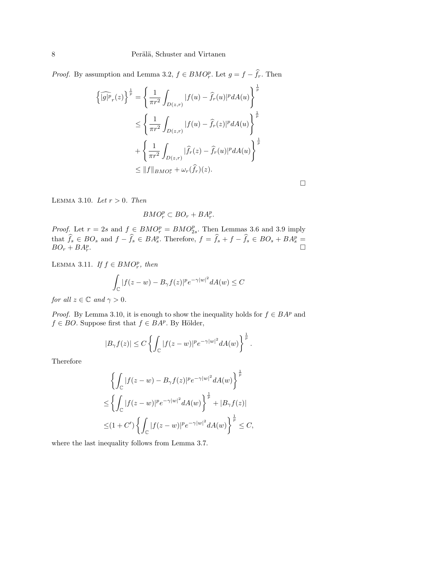*Proof.* By assumption and Lemma 3.2,  $f \in BMO_r^p$ . Let  $g = f - \hat{f}_r$ . Then

$$
\left\{\widehat{|g|^p}_r(z)\right\}^{\frac{1}{p}} = \left\{\frac{1}{\pi r^2} \int_{D(z,r)} |f(u) - \widehat{f}_r(u)|^p dA(u)\right\}^{\frac{1}{p}}
$$
  

$$
\leq \left\{\frac{1}{\pi r^2} \int_{D(z,r)} |f(u) - \widehat{f}_r(z)|^p dA(u)\right\}^{\frac{1}{p}}
$$
  

$$
+ \left\{\frac{1}{\pi r^2} \int_{D(z,r)} |\widehat{f}_r(z) - \widehat{f}_r(u)|^p dA(u)\right\}^{\frac{1}{p}}
$$
  

$$
\leq ||f||_{BMO_r^p} + \omega_r(\widehat{f}_r)(z).
$$

 $\Box$ 

LEMMA 3.10. Let  $r > 0$ . Then

 $BMO_r^p \subset BO_r + BA_r^p$ .

*Proof.* Let  $r = 2s$  and  $f \in BMO_r^p = BMO_{2s}^p$ . Then Lemmas 3.6 and 3.9 imply that  $\hat{f}_s \in BO_s$  and  $f - \hat{f}_s \in BA_s^p$ . Therefore,  $f = \hat{f}_s + f - \hat{f}_s \in BO_s + BA_s^p =$  $BO_r + BA_r^p.$ 

LEMMA 3.11. If  $f \in BMO_r^p$ , then

$$
\int_{\mathbb{C}} |f(z - w) - B_{\gamma} f(z)|^p e^{-\gamma |w|^2} dA(w) \le C
$$

for all  $z \in \mathbb{C}$  and  $\gamma > 0$ .

*Proof.* By Lemma 3.10, it is enough to show the inequality holds for  $f \in BA^p$  and  $f \in BO$ . Suppose first that  $f \in BA^p$ . By Hölder,

$$
|B_{\gamma}f(z)| \leq C \left\{ \int_{\mathbb{C}} |f(z-w)|^p e^{-\gamma |w|^2} dA(w) \right\}^{\frac{1}{p}}.
$$

Therefore

$$
\left\{\int_{\mathbb{C}}|f(z-w)-B_{\gamma}f(z)|^{p}e^{-\gamma|w|^{2}}dA(w)\right\}^{\frac{1}{p}}
$$
  

$$
\leq \left\{\int_{\mathbb{C}}|f(z-w)|^{p}e^{-\gamma|w|^{2}}dA(w)\right\}^{\frac{1}{p}}+|B_{\gamma}f(z)|
$$
  

$$
\leq (1+C')\left\{\int_{\mathbb{C}}|f(z-w)|^{p}e^{-\gamma|w|^{2}}dA(w)\right\}^{\frac{1}{p}}\leq C,
$$

where the last inequality follows from Lemma 3.7.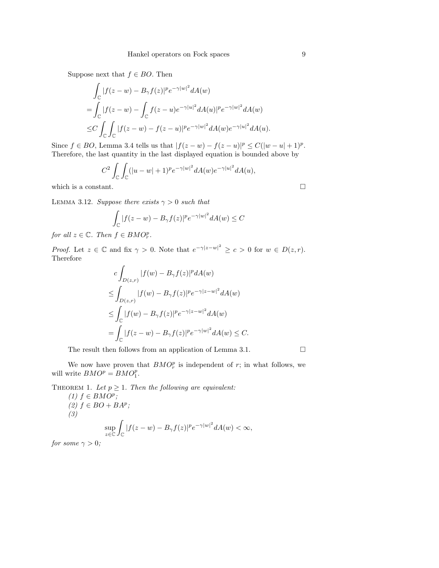Suppose next that  $f \in BO$ . Then

$$
\int_{\mathbb{C}} |f(z-w) - B_{\gamma}f(z)|^p e^{-\gamma|w|^2} dA(w)
$$
\n
$$
= \int_{\mathbb{C}} |f(z-w) - \int_{\mathbb{C}} f(z-u) e^{-\gamma|w|^2} dA(u)|^p e^{-\gamma|w|^2} dA(w)
$$
\n
$$
\leq C \int_{\mathbb{C}} \int_{\mathbb{C}} |f(z-w) - f(z-u)|^p e^{-\gamma|w|^2} dA(w) e^{-\gamma|u|^2} dA(u).
$$

Since  $f \in BO$ , Lemma 3.4 tells us that  $|f(z - w) - f(z - u)|^p \le C(|w - u| + 1)^p$ . Therefore, the last quantity in the last displayed equation is bounded above by

$$
C^2 \int_{\mathbb{C}} \int_{\mathbb{C}} (|u - w| + 1)^p e^{-\gamma |w|^2} dA(w) e^{-\gamma |w|^2} dA(u),
$$

which is a constant.  $\Box$ 

LEMMA 3.12. Suppose there exists  $\gamma > 0$  such that

$$
\int_{\mathbb{C}} |f(z - w) - B_{\gamma} f(z)|^{p} e^{-\gamma |w|^{2}} dA(w) \leq C
$$

for all  $z \in \mathbb{C}$ . Then  $f \in BMO_r^p$ .

*Proof.* Let  $z \in \mathbb{C}$  and fix  $\gamma > 0$ . Note that  $e^{-\gamma |z-w|^2} \geq c > 0$  for  $w \in D(z,r)$ . Therefore

$$
c \int_{D(z,r)} |f(w) - B_{\gamma}f(z)|^p dA(w)
$$
  
\n
$$
\leq \int_{D(z,r)} |f(w) - B_{\gamma}f(z)|^p e^{-\gamma |z-w|^2} dA(w)
$$
  
\n
$$
\leq \int_{\mathbb{C}} |f(w) - B_{\gamma}f(z)|^p e^{-\gamma |z-w|^2} dA(w)
$$
  
\n
$$
= \int_{\mathbb{C}} |f(z-w) - B_{\gamma}f(z)|^p e^{-\gamma |w|^2} dA(w) \leq C.
$$

The result then follows from an application of Lemma 3.1.  $\Box$ 

We now have proven that  $BMO_r^p$  is independent of r; in what follows, we will write  $BMO^p = BMO_1^p$ .

THEOREM 1. Let  $p \geq 1$ . Then the following are equivalent:

(1) 
$$
f \in BMO^p
$$
;  
\n(2)  $f \in BO + BA^p$ ;  
\n(3) 
$$
\sup_{z \in \mathbb{C}} \int_{\mathbb{C}} |f(z - w) - B_{\gamma} f(z)|^p e^{-\gamma |w|^2} dA(w) < \infty,
$$

for some  $\gamma > 0$ ;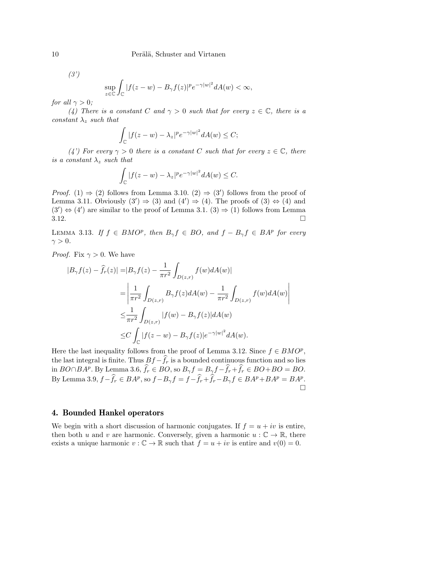$(3')$ 

$$
\sup_{z \in \mathbb{C}} \int_{\mathbb{C}} |f(z - w) - B_{\gamma} f(z)|^{p} e^{-\gamma |w|^{2}} dA(w) < \infty,
$$

for all  $\gamma > 0$ ;

(4) There is a constant C and  $\gamma > 0$  such that for every  $z \in \mathbb{C}$ , there is a constant  $\lambda_z$  such that

$$
\int_{\mathbb{C}} |f(z - w) - \lambda_z|^p e^{-\gamma |w|^2} dA(w) \le C;
$$

(4') For every  $\gamma > 0$  there is a constant C such that for every  $z \in \mathbb{C}$ , there is a constant  $\lambda_z$  such that

$$
\int_{\mathbb{C}} |f(z - w) - \lambda_z|^p e^{-\gamma |w|^2} dA(w) \leq C.
$$

*Proof.* (1)  $\Rightarrow$  (2) follows from Lemma 3.10. (2)  $\Rightarrow$  (3') follows from the proof of Lemma 3.11. Obviously  $(3') \Rightarrow (3)$  and  $(4') \Rightarrow (4)$ . The proofs of  $(3) \Leftrightarrow (4)$  and  $(3') \Leftrightarrow (4')$  are similar to the proof of Lemma 3.1.  $(3) \Rightarrow (1)$  follows from Lemma  $3.12.$ 

LEMMA 3.13. If  $f \in BMO^p$ , then  $B_{\gamma} f \in BO$ , and  $f - B_{\gamma} f \in BA^p$  for every  $\gamma > 0$ .

*Proof.* Fix  $\gamma > 0$ . We have

$$
\begin{split} |B_{\gamma}f(z)-\hat{f}_{r}(z)|=&|B_{\gamma}f(z)-\frac{1}{\pi r^{2}}\int_{D(z,r)}f(w)dA(w)|\\ =&\left|\frac{1}{\pi r^{2}}\int_{D(z,r)}B_{\gamma}f(z)dA(w)-\frac{1}{\pi r^{2}}\int_{D(z,r)}f(w)dA(w)\right|\\ \leq&\frac{1}{\pi r^{2}}\int_{D(z,r)}|f(w)-B_{\gamma}f(z)|dA(w)\\ \leq& C\int_{\mathbb{C}}|f(z-w)-B_{\gamma}f(z)|e^{-\gamma |w|^{2}}dA(w). \end{split}
$$

Here the last inequality follows from the proof of Lemma 3.12. Since  $f \in BMO^p$ , the last integral is finite. Thus  $Bf - \hat{f}_r$  is a bounded continuous function and so lies in  $BO \cap BA^p$ . By Lemma 3.6,  $\hat{f}_r \in BO$ , so  $B_{\gamma} f = B_{\gamma} f - \hat{f}_r + \hat{f}_r \in BO + BO = BO$ . By Lemma 3.9,  $f - \hat{f}_r \in BA^p$ , so  $f - B_\gamma f = f - \hat{f}_r + \hat{f}_r - B_\gamma f \in BA^p + BA^p = BA^p$ .  $\Box$ 

#### 4. Bounded Hankel operators

We begin with a short discussion of harmonic conjugates. If  $f = u + iv$  is entire, then both u and v are harmonic. Conversely, given a harmonic  $u : \mathbb{C} \to \mathbb{R}$ , there exists a unique harmonic  $v : \mathbb{C} \to \mathbb{R}$  such that  $f = u + iv$  is entire and  $v(0) = 0$ .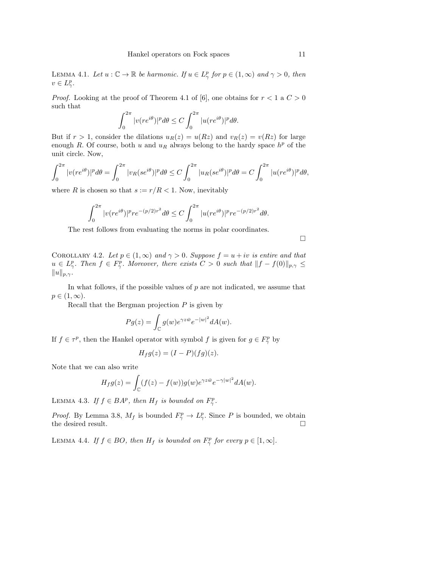LEMMA 4.1. Let  $u : \mathbb{C} \to \mathbb{R}$  be harmonic. If  $u \in L^p_\gamma$  for  $p \in (1, \infty)$  and  $\gamma > 0$ , then  $v \in L^p_\gamma.$ 

*Proof.* Looking at the proof of Theorem 4.1 of [6], one obtains for  $r < 1$  a  $C > 0$ such that

$$
\int_0^{2\pi} |v(re^{i\theta})|^p d\theta \le C \int_0^{2\pi} |u(re^{i\theta})|^p d\theta.
$$

But if  $r > 1$ , consider the dilations  $u_R(z) = u(Rz)$  and  $v_R(z) = v(Rz)$  for large enough R. Of course, both u and  $u_R$  always belong to the hardy space  $h^p$  of the unit circle. Now,

$$
\int_0^{2\pi} |v(re^{i\theta})|^p d\theta = \int_0^{2\pi} |v_R(se^{i\theta})|^p d\theta \le C \int_0^{2\pi} |u_R(se^{i\theta})|^p d\theta = C \int_0^{2\pi} |u(re^{i\theta})|^p d\theta,
$$

where R is chosen so that  $s := r/R < 1$ . Now, inevitably

$$
\int_0^{2\pi} |v(re^{i\theta})|^p r e^{-(p/2)r^2} d\theta \le C \int_0^{2\pi} |u(re^{i\theta})|^p r e^{-(p/2)r^2} d\theta.
$$

The rest follows from evaluating the norms in polar coordinates.

 $\Box$ 

COROLLARY 4.2. Let  $p \in (1,\infty)$  and  $\gamma > 0$ . Suppose  $f = u + iv$  is entire and that  $u \in L^p_\gamma$ . Then  $f \in F^p_\gamma$ . Moreover, there exists  $C > 0$  such that  $||f - f(0)||_{p,\gamma} \leq$  $||u||_{p,\gamma}$ .

In what follows, if the possible values of  $p$  are not indicated, we assume that  $p\in(1,\infty).$ 

Recall that the Bergman projection  $P$  is given by

$$
Pg(z) = \int_{\mathbb{C}} g(w)e^{\gamma z \bar{w}} e^{-|w|^2} dA(w).
$$

If  $f \in \tau^p$ , then the Hankel operator with symbol f is given for  $g \in F_{\gamma}^p$  by

$$
H_f g(z) = (I - P)(fg)(z).
$$

Note that we can also write

$$
H_f g(z) = \int_{\mathbb{C}} (f(z) - f(w)) g(w) e^{\gamma z \bar{w}} e^{-\gamma |w|^2} dA(w).
$$

LEMMA 4.3. If  $f \in BA^p$ , then  $H_f$  is bounded on  $F_{\gamma}^p$ .

*Proof.* By Lemma 3.8,  $M_f$  is bounded  $F^p_\gamma \to L^p_\gamma$ . Since P is bounded, we obtain the desired result.  $\Box$ 

LEMMA 4.4. If  $f \in BO$ , then  $H_f$  is bounded on  $F^p_\gamma$  for every  $p \in [1, \infty]$ .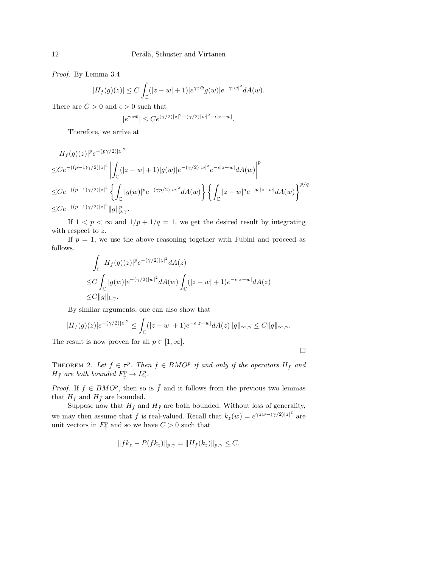#### 12 Perälä, Schuster and Virtanen

Proof. By Lemma 3.4

$$
|H_f(g)(z)| \leq C \int_{\mathbb{C}} (|z-w|+1)|e^{\gamma z \bar{w}} g(w)|e^{-\gamma |w|^2} dA(w).
$$

There are  $C>0$  and  $\epsilon>0$  such that

$$
|e^{\gamma z \bar{w}}| \leq C e^{(\gamma/2)|z|^2 + (\gamma/2)|w|^2 - \epsilon |z - w|}.
$$

Therefore, we arrive at

$$
|H_f(g)(z)|^p e^{-(p\gamma/2)|z|^2}
$$
  
\n
$$
\leq C e^{-(p-1)\gamma/2)|z|^2} \left| \int_{\mathbb{C}} (|z-w|+1)|g(w)|e^{-(\gamma/2)|w|^2} e^{-\epsilon |z-w|} dA(w) \right|^p
$$
  
\n
$$
\leq C e^{-(p-1)\gamma/2)|z|^2} \left\{ \int_{\mathbb{C}} |g(w)|^p e^{-(\gamma p/2)|w|^2} dA(w) \right\} \left\{ \int_{\mathbb{C}} |z-w|^q e^{-q\epsilon |z-w|} dA(w) \right\}^{p/q}
$$
  
\n
$$
\leq C e^{-(p-1)\gamma/2)|z|^2} \|g\|_{p,\gamma}^p.
$$

If  $1 < p < \infty$  and  $1/p + 1/q = 1$ , we get the desired result by integrating with respect to z.

If  $p = 1$ , we use the above reasoning together with Fubini and proceed as follows.

$$
\int_{\mathbb{C}} |H_f(g)(z)|^p e^{-(\gamma/2)|z|^2} dA(z)
$$
\n
$$
\leq C \int_{\mathbb{C}} |g(w)| e^{-(\gamma/2)|w|^2} dA(w) \int_{\mathbb{C}} (|z-w|+1) e^{-\epsilon |z-w|} dA(z)
$$
\n
$$
\leq C \|g\|_{1,\gamma}.
$$

By similar arguments, one can also show that

$$
|H_f(g)(z)|e^{-(\gamma/2)|z|^2} \leq \int_{\mathbb{C}} (|z-w|+1)e^{-\epsilon|z-w|} dA(z) \|g\|_{\infty,\gamma} \leq C \|g\|_{\infty,\gamma}.
$$

The result is now proven for all  $p \in [1, \infty]$ .

 $\Box$ 

THEOREM 2. Let  $f \in \tau^p$ . Then  $f \in BMO^p$  if and only if the operators  $H_f$  and  $H_{\bar{f}}$  are both bounded  $F_{\gamma}^p \to L_{\gamma}^p$ .

*Proof.* If  $f \in BMO^p$ , then so is  $\overline{f}$  and it follows from the previous two lemmas that  $H_f$  and  $H_{\bar{f}}$  are bounded.

Suppose now that  $H_f$  and  $H_{\bar{f}}$  are both bounded. Without loss of generality, we may then assume that f is real-valued. Recall that  $k_z(w) = e^{\gamma \bar{z}w - (\gamma/2)|z|^2}$  are unit vectors in  $F^p_\gamma$  and so we have  $C > 0$  such that

$$
||fk_z - P(fk_z)||_{p,\gamma} = ||H_f(k_z)||_{p,\gamma} \leq C.
$$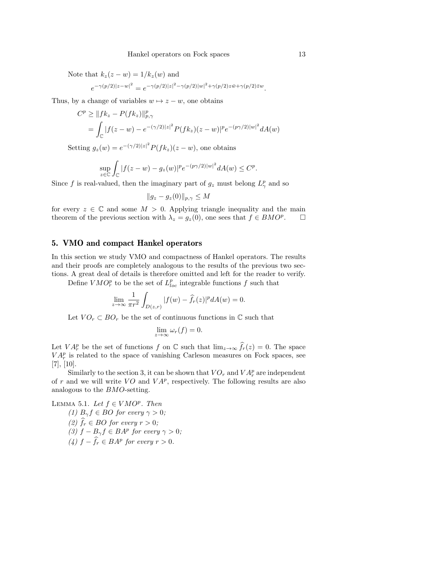Note that  $k_z(z - w) = 1/k_z(w)$  and

$$
e^{-\gamma(p/2)|z-w|^2} = e^{-\gamma(p/2)|z|^2 - \gamma(p/2)|w|^2 + \gamma(p/2)z\bar{w} + \gamma(p/2)\bar{z}w}.
$$

Thus, by a change of variables  $w \mapsto z - w$ , one obtains

$$
C^{p} \geq ||fk_{z} - P(fk_{z})||_{p,\gamma}^{p}
$$
  
=  $\int_{\mathbb{C}} |f(z - w) - e^{-(\gamma/2)|z|^{2}} P(fk_{z})(z - w)|^{p} e^{-(p\gamma/2)|w|^{2}} dA(w)$ 

Setting  $g_z(w) = e^{-(\gamma/2)|z|^2} P(f k_z)(z - w)$ , one obtains

$$
\sup_{z \in \mathbb{C}} \int_{\mathbb{C}} |f(z - w) - g_z(w)|^p e^{-(p\gamma/2)|w|^2} dA(w) \le C^p.
$$

Since f is real-valued, then the imaginary part of  $g_z$  must belong  $L^p_\gamma$  and so

$$
||g_z - g_z(0)||_{p,\gamma} \le M
$$

for every  $z \in \mathbb{C}$  and some  $M > 0$ . Applying triangle inequality and the main theorem of the previous section with  $\lambda_z = g_z(0)$ , one sees that  $f \in BMO^p$ .  $\Box$ 

#### 5. VMO and compact Hankel operators

In this section we study VMO and compactness of Hankel operators. The results and their proofs are completely analogous to the results of the previous two sections. A great deal of details is therefore omitted and left for the reader to verify.

Define  $VMO_r^p$  to be the set of  $L_{loc}^p$  integrable functions f such that

$$
\lim_{z \to \infty} \frac{1}{\pi r^2} \int_{D(z,r)} |f(w) - \hat{f}_r(z)|^p dA(w) = 0.
$$

Let  $VO_r \subset BO_r$  be the set of continuous functions in  $\mathbb C$  such that

$$
\lim_{z \to \infty} \omega_r(f) = 0.
$$

Let  $VA_r^p$  be the set of functions f on  $\mathbb C$  such that  $\lim_{z\to\infty} \widehat{f}_r(z) = 0$ . The space  $VA_r^p$  is related to the space of vanishing Carleson measures on Fock spaces, see [7], [10].

Similarly to the section 3, it can be shown that  $VO<sub>r</sub>$  and  $VA<sup>p</sup><sub>r</sub>$  are independent of r and we will write  $VO$  and  $VA<sup>p</sup>$ , respectively. The following results are also analogous to the BMO-setting.

LEMMA 5.1. Let  $f \in VMO^p$ . Then (1)  $B_{\gamma} f \in BO$  for every  $\gamma > 0$ ; (2)  $f_r \in BO$  for every  $r > 0$ ; (3)  $f - B_{\gamma} f \in BA^p$  for every  $\gamma > 0$ ; (4)  $f - \hat{f}_r \in BA^p$  for every  $r > 0$ .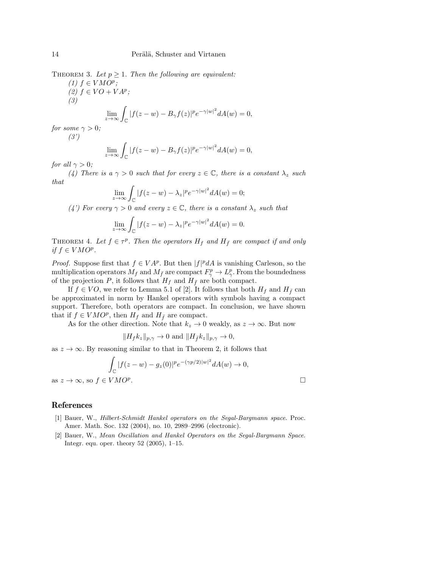THEOREM 3. Let  $p \geq 1$ . Then the following are equivalent:

(1)  $f \in VMO^p$ ; (2)  $f ∈ VO + VA<sup>p</sup>$ ; (3) limz→∞ <sup>Z</sup>

$$
\lim_{\eta \to \infty} \int_{\mathbb{C}} |f(z - w) - B_{\gamma} f(z)|^p e^{-\gamma |w|^2} dA(w) = 0,
$$

for some  $\gamma > 0$ ;  $(3')$ 

$$
\lim_{z \to \infty} \int_{\mathbb{C}} |f(z - w) - B_{\gamma} f(z)|^p e^{-\gamma |w|^2} dA(w) = 0,
$$

for all  $\gamma > 0$ ;

(4) There is a  $\gamma > 0$  such that for every  $z \in \mathbb{C}$ , there is a constant  $\lambda_z$  such that

$$
\lim_{z \to \infty} \int_{\mathbb{C}} |f(z - w) - \lambda_z|^p e^{-\gamma |w|^2} dA(w) = 0;
$$

(4') For every  $\gamma > 0$  and every  $z \in \mathbb{C}$ , there is a constant  $\lambda_z$  such that

$$
\lim_{z \to \infty} \int_{\mathbb{C}} |f(z - w) - \lambda_z|^p e^{-\gamma |w|^2} dA(w) = 0.
$$

THEOREM 4. Let  $f \in \tau^p$ . Then the operators  $H_f$  and  $H_{\bar{f}}$  are compact if and only if  $f \in VMO^p$ .

*Proof.* Suppose first that  $f \in V\mathcal{A}^p$ . But then  $|f|^p dA$  is vanishing Carleson, so the multiplication operators  $M_f$  and  $M_{\bar{f}}$  are compact  $F_{\gamma}^p \to L_{\gamma}^p$ . From the boundedness of the projection P, it follows that  $H_f$  and  $H_{\bar{f}}$  are both compact.

If  $f \in VO$ , we refer to Lemma 5.1 of [2]. It follows that both  $H_f$  and  $H_{\bar{f}}$  can be approximated in norm by Hankel operators with symbols having a compact support. Therefore, both operators are compact. In conclusion, we have shown that if  $f \in VMO^p$ , then  $H_f$  and  $H_{\bar{f}}$  are compact.

As for the other direction. Note that  $k_z \to 0$  weakly, as  $z \to \infty$ . But now

$$
||H_f k_z||_{p,\gamma} \to 0 \text{ and } ||H_{\bar{f}} k_z||_{p,\gamma} \to 0,
$$

as  $z \to \infty$ . By reasoning similar to that in Theorem 2, it follows that

$$
\int_{\mathbb{C}} |f(z-w) - g_z(0)|^p e^{-(\gamma p/2)|w|^2} dA(w) \to 0,
$$
  
VMO<sup>p</sup>.

#### References

as  $z \to \infty$ , so  $f \in$ 

- [1] Bauer, W., Hilbert-Schmidt Hankel operators on the Segal-Bargmann space. Proc. Amer. Math. Soc. 132 (2004), no. 10, 2989–2996 (electronic).
- [2] Bauer, W., Mean Oscillation and Hankel Operators on the Segal-Bargmann Space. Integr. equ. oper. theory 52 (2005), 1–15.